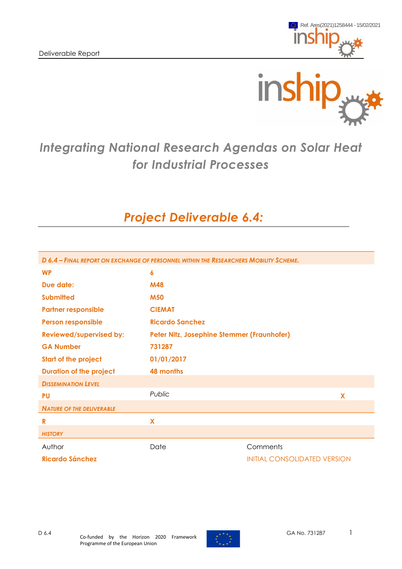



# *Integrating National Research Agendas on Solar Heat for Industrial Processes*

# *Project Deliverable 6.4:*

| D 6.4 - FINAL REPORT ON EXCHANGE OF PERSONNEL WITHIN THE RESEARCHERS MOBILITY SCHEME. |                                            |                                     |  |  |  |  |  |
|---------------------------------------------------------------------------------------|--------------------------------------------|-------------------------------------|--|--|--|--|--|
| <b>WP</b>                                                                             | 6                                          |                                     |  |  |  |  |  |
| Due date:                                                                             | <b>M48</b>                                 |                                     |  |  |  |  |  |
| <b>Submitted</b>                                                                      | <b>M50</b>                                 |                                     |  |  |  |  |  |
| <b>Partner responsible</b>                                                            | <b>CIEMAT</b>                              |                                     |  |  |  |  |  |
| <b>Person responsible</b>                                                             | <b>Ricardo Sanchez</b>                     |                                     |  |  |  |  |  |
| <b>Reviewed/supervised by:</b>                                                        | Peter Nitz, Josephine Stemmer (Fraunhofer) |                                     |  |  |  |  |  |
| <b>GA Number</b>                                                                      | 731287                                     |                                     |  |  |  |  |  |
| <b>Start of the project</b>                                                           | 01/01/2017                                 |                                     |  |  |  |  |  |
| <b>Duration of the project</b>                                                        | 48 months                                  |                                     |  |  |  |  |  |
| <b>DISSEMINATION LEVEL</b>                                                            |                                            |                                     |  |  |  |  |  |
| <b>PU</b>                                                                             | Public                                     | $\overline{\mathbf{X}}$             |  |  |  |  |  |
| <b>NATURE OF THE DELIVERABLE</b>                                                      |                                            |                                     |  |  |  |  |  |
| R                                                                                     | X                                          |                                     |  |  |  |  |  |
| <b>HISTORY</b>                                                                        |                                            |                                     |  |  |  |  |  |
| Author                                                                                | Date                                       | Comments                            |  |  |  |  |  |
| <b>Ricardo Sánchez</b>                                                                |                                            | <b>INITIAL CONSOLIDATED VERSION</b> |  |  |  |  |  |

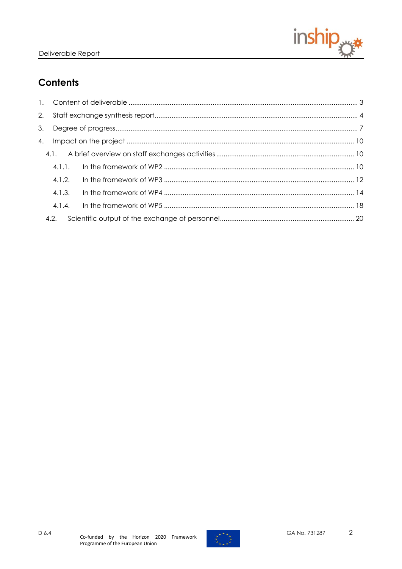

# **Contents**

| 4.1.1. |  |
|--------|--|
| 4.1.2. |  |
| 4.1.3. |  |
| 4.1.4. |  |
|        |  |

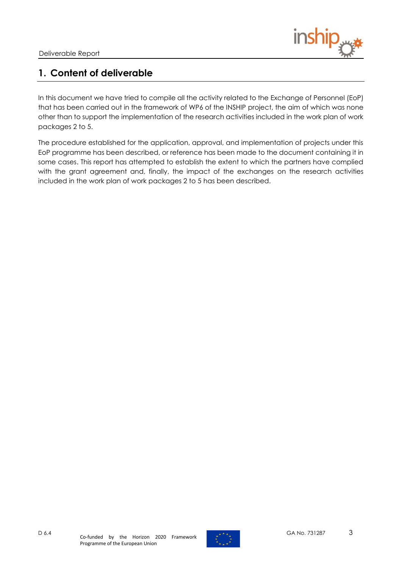

# <span id="page-2-0"></span>**1. Content of deliverable**

In this document we have tried to compile all the activity related to the Exchange of Personnel (EoP) that has been carried out in the framework of WP6 of the INSHIP project, the aim of which was none other than to support the implementation of the research activities included in the work plan of work packages 2 to 5.

The procedure established for the application, approval, and implementation of projects under this EoP programme has been described, or reference has been made to the document containing it in some cases. This report has attempted to establish the extent to which the partners have complied with the grant agreement and, finally, the impact of the exchanges on the research activities included in the work plan of work packages 2 to 5 has been described.

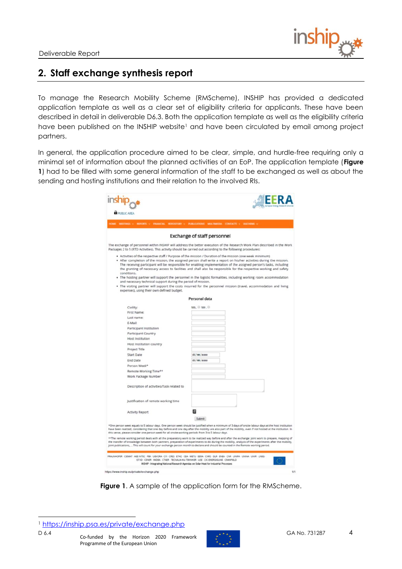

# <span id="page-3-0"></span>**2. Staff exchange synthesis report**

To manage the Research Mobility Scheme (RMScheme), INSHIP has provided a dedicated application template as well as a clear set of eligibility criteria for applicants. These have been described in detail in deliverable D6.3. Both the application template as well as the eligibility criteria have been published on the INSHIP website<sup>1</sup> and have been circulated by email among project partners.

In general, the application procedure aimed to be clear, simple, and hurdle-free requiring only a minimal set of information about the planned activities of an EoP. The application template (**[Figure](#page-3-1)  [1](#page-3-1)**) had to be filled with some general information of the staff to be exchanged as well as about the sending and hosting institutions and their relation to the involved RIs.

| <b>PUBLIC AREA</b>                                                                                                                                                                 | MEETINGS -> REPORTS -> FRANCIAL REPOSITORY -> PUBLICATIONS MULTIMEDIA -CONTACTS -> MODIFIAL ->                                                                                                                                                                                                                                                                                                                                                                                                                                                                                                                                                                                                                               |
|------------------------------------------------------------------------------------------------------------------------------------------------------------------------------------|------------------------------------------------------------------------------------------------------------------------------------------------------------------------------------------------------------------------------------------------------------------------------------------------------------------------------------------------------------------------------------------------------------------------------------------------------------------------------------------------------------------------------------------------------------------------------------------------------------------------------------------------------------------------------------------------------------------------------|
|                                                                                                                                                                                    | <b>Exchange of staff personnel</b>                                                                                                                                                                                                                                                                                                                                                                                                                                                                                                                                                                                                                                                                                           |
| Packages 2 to 5 (RTD Activities). This activity should be carried out according to the following procedures:                                                                       | The exchange of personnel within INSHIP will address the better execution of the Research Work Plan described in the Work                                                                                                                                                                                                                                                                                                                                                                                                                                                                                                                                                                                                    |
| conditions.<br>and necessary technical support during the period of mission.                                                                                                       | . Activities of the respective staff / Purpose of the mission / Duration of the mission (one week minimum)<br>. After completion of the mission, the assigned person shall write a report on his/her activities during the mission.<br>The receiving participant will be responsible for enabling implementation of the assigned person's tasks, including<br>the granting of necessary access to facilities and shall also be responsible for the respective working and safety<br>. The hosting partner will support the personnel in the logistic formalities, including working room accommodation<br>. The visiting partner will support the costs incurred for the personnel mission (travel, accommodation and living |
| expenses), using their own defined budget.                                                                                                                                         |                                                                                                                                                                                                                                                                                                                                                                                                                                                                                                                                                                                                                                                                                                                              |
|                                                                                                                                                                                    | Personal data                                                                                                                                                                                                                                                                                                                                                                                                                                                                                                                                                                                                                                                                                                                |
| Civility:                                                                                                                                                                          | Ms. © Mr. ©                                                                                                                                                                                                                                                                                                                                                                                                                                                                                                                                                                                                                                                                                                                  |
| First Name:                                                                                                                                                                        |                                                                                                                                                                                                                                                                                                                                                                                                                                                                                                                                                                                                                                                                                                                              |
| Last name:                                                                                                                                                                         |                                                                                                                                                                                                                                                                                                                                                                                                                                                                                                                                                                                                                                                                                                                              |
| E-Mail:                                                                                                                                                                            |                                                                                                                                                                                                                                                                                                                                                                                                                                                                                                                                                                                                                                                                                                                              |
| Participant Institution                                                                                                                                                            |                                                                                                                                                                                                                                                                                                                                                                                                                                                                                                                                                                                                                                                                                                                              |
| <b>Participant Country</b>                                                                                                                                                         |                                                                                                                                                                                                                                                                                                                                                                                                                                                                                                                                                                                                                                                                                                                              |
| Host Institution                                                                                                                                                                   |                                                                                                                                                                                                                                                                                                                                                                                                                                                                                                                                                                                                                                                                                                                              |
| Host Institution country                                                                                                                                                           |                                                                                                                                                                                                                                                                                                                                                                                                                                                                                                                                                                                                                                                                                                                              |
| Project Title                                                                                                                                                                      |                                                                                                                                                                                                                                                                                                                                                                                                                                                                                                                                                                                                                                                                                                                              |
| <b>Start Date</b>                                                                                                                                                                  | dd/mn/aaaa                                                                                                                                                                                                                                                                                                                                                                                                                                                                                                                                                                                                                                                                                                                   |
| End Date                                                                                                                                                                           | dd/mm/aaaa                                                                                                                                                                                                                                                                                                                                                                                                                                                                                                                                                                                                                                                                                                                   |
| Person Week*                                                                                                                                                                       |                                                                                                                                                                                                                                                                                                                                                                                                                                                                                                                                                                                                                                                                                                                              |
| Remote Working Time**                                                                                                                                                              |                                                                                                                                                                                                                                                                                                                                                                                                                                                                                                                                                                                                                                                                                                                              |
| Work Package Number                                                                                                                                                                |                                                                                                                                                                                                                                                                                                                                                                                                                                                                                                                                                                                                                                                                                                                              |
|                                                                                                                                                                                    |                                                                                                                                                                                                                                                                                                                                                                                                                                                                                                                                                                                                                                                                                                                              |
| Description of activities/Task related to                                                                                                                                          |                                                                                                                                                                                                                                                                                                                                                                                                                                                                                                                                                                                                                                                                                                                              |
| Justification of remote working time                                                                                                                                               |                                                                                                                                                                                                                                                                                                                                                                                                                                                                                                                                                                                                                                                                                                                              |
| <b>Activity Report</b>                                                                                                                                                             |                                                                                                                                                                                                                                                                                                                                                                                                                                                                                                                                                                                                                                                                                                                              |
|                                                                                                                                                                                    | Submit                                                                                                                                                                                                                                                                                                                                                                                                                                                                                                                                                                                                                                                                                                                       |
| this sense, please consider one person week for all onsite working periods from 3 to 5 labour days.                                                                                | *One person week equals to 5 labour days. One person week should be justified when a minimum of 3 days of onsite labour days at the host institution<br>have been realized, considering that one day before and one day after the mobility are also part of the mobility, even if not hosted at the institution. In                                                                                                                                                                                                                                                                                                                                                                                                          |
|                                                                                                                                                                                    | **The remote working period deals with all the preparatory work to be realized way before and after the exchange: joint work to prepare, mapping of<br>the transfer of knowledge between both partners, preparation of experiments to do during the mobility, analysis of the experiments after the mobility,<br>joint publications,  This will count for your exchange person month to declare and should be counted in the Remote working period.                                                                                                                                                                                                                                                                          |
| FRAUNHOFER CEMAT AEE INTEC FIBI LIEVORA CYI CRES ETHC CEA METU EERA CHRS DUR ENEA CHR UNINA UNIN UNIS                                                                              |                                                                                                                                                                                                                                                                                                                                                                                                                                                                                                                                                                                                                                                                                                                              |
| IST-ID - CENER - IMDEA - CTAER - TECHALIA IKA TEKNIKER - USE - CIC-ENERGIGUNE - CRANPIELD<br>INSHIP - Integrating National Research Agendas on Solar Heat for Industrial Processes |                                                                                                                                                                                                                                                                                                                                                                                                                                                                                                                                                                                                                                                                                                                              |

<span id="page-3-1"></span>**Figure 1**. A sample of the application form for the RMScheme.

<sup>1</sup> <https://inship.psa.es/private/exchange.php>

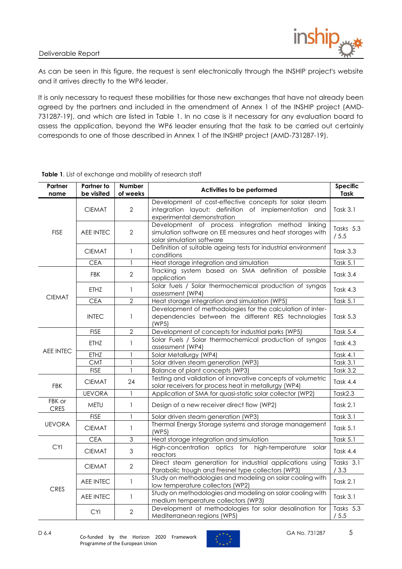

As can be seen in this figure, the request is sent electronically through the INSHIP project's website and it arrives directly to the WP6 leader.

It is only necessary to request these mobilities for those new exchanges that have not already been agreed by the partners and included in the amendment of Annex 1 of the INSHIP project (AMD-731287-19), and which are listed in [Table 1.](#page-4-0) In no case is it necessary for any evaluation board to assess the application, beyond the WP6 leader ensuring that the task to be carried out certainly corresponds to one of those described in Annex 1 of the INSHIP project (AMD-731287-19).

| Partner<br>name       | <b>Partner to</b><br>be visited | <b>Number</b><br>of weeks | Activities to be performed                                                                                                                   | <b>Specific</b><br><b>Task</b> |  |  |
|-----------------------|---------------------------------|---------------------------|----------------------------------------------------------------------------------------------------------------------------------------------|--------------------------------|--|--|
|                       | <b>CIEMAT</b>                   | $\overline{2}$            | Development of cost-effective concepts for solar steam<br>integration layout: definition of implementation and<br>experimental demonstration | Task $3.1$                     |  |  |
| <b>FISE</b>           | <b>AEE INTEC</b>                | $\overline{2}$            | Development of process integration method linking<br>simulation software on EE measures and heat storages with<br>solar simulation software  | Tasks 5.3<br>/5.5              |  |  |
|                       | <b>CIEMAT</b>                   | $\mathbf{1}$              | Definition of suitable ageing tests for industrial environment<br>conditions                                                                 | Task $3.3$                     |  |  |
|                       | <b>CEA</b>                      | $\mathbf{1}$              | Heat storage integration and simulation                                                                                                      | <b>Task 5.1</b>                |  |  |
|                       | <b>FBK</b>                      | $\overline{2}$            | Tracking system based on SMA definition of possible<br>application                                                                           | Task 3.4                       |  |  |
| <b>CIEMAT</b>         | <b>ETHZ</b>                     | 1                         | Solar fuels / Solar thermochemical production of syngas<br>assessment (WP4)                                                                  | <b>Task 4.3</b>                |  |  |
|                       | <b>CEA</b>                      | $\overline{2}$            | Heat storage integration and simulation (WP5)                                                                                                | Task 5.1                       |  |  |
|                       | <b>INTEC</b>                    | $\mathbf{1}$              | Development of methodologies for the calculation of inter-<br>dependencies between the different RES technologies<br>(WP5)                   | <b>Task 5.3</b>                |  |  |
|                       | <b>FISE</b>                     | $\overline{2}$            | Development of concepts for industrial parks (WP5)                                                                                           | Task 5.4                       |  |  |
|                       | <b>ETHZ</b>                     | 1                         | Solar Fuels / Solar thermochemical production of syngas<br>assessment (WP4)                                                                  |                                |  |  |
| <b>AEE INTEC</b>      | <b>ETHZ</b>                     |                           | Solar Metallurgy (WP4)                                                                                                                       | Task 4.1                       |  |  |
|                       | <b>CMT</b>                      | 1                         | Solar driven steam generation (WP3)                                                                                                          | <b>Task 3.1</b>                |  |  |
|                       | <b>FISE</b>                     | $\mathbf{1}$              | Balance of plant concepts (WP3)                                                                                                              | <b>Task 3.2</b>                |  |  |
| <b>FBK</b>            | <b>CIEMAT</b>                   | 24                        | Testing and validation of innovative concepts of volumetric<br>solar receivers for process heat in metallurgy (WP4)                          | <b>Task 4.4</b>                |  |  |
|                       | <b>UEVORA</b>                   | $\mathbf{1}$              | Application of SMA for quasi-static solar collector (WP2)                                                                                    | Task2.3                        |  |  |
| FBK or<br><b>CRES</b> | <b>METU</b>                     | $\mathbf{1}$              | Design of a new receiver direct flow (WP2)                                                                                                   | Task $2.1$                     |  |  |
|                       | <b>FISE</b>                     | $\mathbf{1}$              | Solar driven steam generation (WP3)                                                                                                          | Task 3.1                       |  |  |
| <b>UEVORA</b>         | <b>CIEMAT</b>                   | $\mathbf{1}$              | Thermal Energy Storage systems and storage management<br>(WP5)                                                                               | <b>Task 5.1</b>                |  |  |
|                       | <b>CEA</b>                      | 3                         | Heat storage integration and simulation                                                                                                      | Task 5.1                       |  |  |
| <b>CYI</b>            | <b>CIEMAT</b>                   | 3                         | High-concentration optics for high-temperature<br>solar<br>reactors                                                                          | <b>Task 4.4</b>                |  |  |
|                       | <b>CIEMAT</b>                   | $\overline{2}$            | Direct steam generation for industrial applications using<br>Parabolic trough and Fresnel type collectors (WP3)                              | Tasks 3.1<br>/3.3              |  |  |
| <b>CRES</b>           | AEE INTEC                       | $\mathbf{1}$              | Study on methodologies and modeling on solar cooling with<br>low temperature collectors (WP2)                                                | Task 2.1                       |  |  |
|                       | <b>AEE INTEC</b>                | 1                         | Study on methodologies and modeling on solar cooling with<br>medium temperature collectors (WP3)                                             | Task 3.1                       |  |  |
|                       | <b>CYI</b>                      | $\overline{2}$            | Development of methodologies for solar desalination for<br>Mediterranean regions (WP5)                                                       | Tasks 5.3<br>/5.5              |  |  |

#### <span id="page-4-0"></span>**Table 1**. List of exchange and mobility of research staff

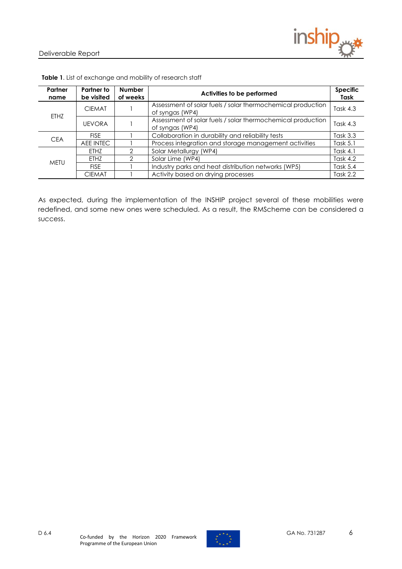

| Partner<br>name | Partner to<br>be visited | <b>Number</b><br>of weeks                                                      | Activities to be performed                                                     | <b>Specific</b><br><b>Task</b> |
|-----------------|--------------------------|--------------------------------------------------------------------------------|--------------------------------------------------------------------------------|--------------------------------|
| ETHZ            | <b>CIEMAT</b>            | Assessment of solar fuels / solar thermochemical production<br>of syngas (WP4) |                                                                                | Task $4.3$                     |
|                 | <b>UEVORA</b>            |                                                                                | Assessment of solar fuels / solar thermochemical production<br>of syngas (WP4) | Task $4.3$                     |
| <b>CEA</b>      | <b>FISE</b>              |                                                                                | Collaboration in durability and reliability tests                              |                                |
|                 | AEE INTEC                |                                                                                | Process integration and storage management activities                          | Task $5.1$                     |
|                 | ETHZ                     |                                                                                | Solar Metallurgy (WP4)                                                         | Task $4.1$                     |
| <b>METU</b>     | FTH7                     |                                                                                | Solar Lime (WP4)                                                               | Task $4.2$                     |
|                 | <b>FISE</b>              |                                                                                | Industry parks and heat distribution networks (WP5)                            | Task 5.4                       |
|                 | <b>CIEMAT</b>            |                                                                                | Activity based on drying processes                                             | Task $2.2$                     |

**Table 1**. List of exchange and mobility of research staff

As expected, during the implementation of the INSHIP project several of these mobilities were redefined, and some new ones were scheduled. As a result, the RMScheme can be considered a success.

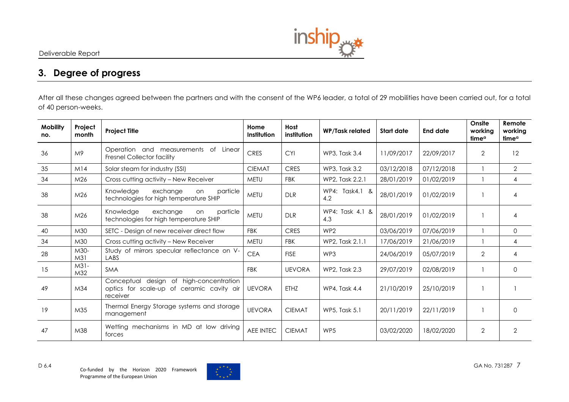

## **3. Degree of progress**

After all these changes agreed between the partners and with the consent of the WP6 leader, a total of 29 mobilities have been carried out, for a total of 40 person-weeks.

<span id="page-6-0"></span>

| <b>Mobility</b><br>no. | Project<br>month        | <b>Project Title</b>                                                                                                                                  | Home<br>Institution | Host<br>institution | <b>WP/Task related</b> | <b>Start date</b> | <b>End date</b> | Onsite<br>working<br>time <sup>a</sup> | Remote<br>working<br>time <sup>a</sup> |
|------------------------|-------------------------|-------------------------------------------------------------------------------------------------------------------------------------------------------|---------------------|---------------------|------------------------|-------------------|-----------------|----------------------------------------|----------------------------------------|
| 36                     | M9                      | Operation and measurements of Linear<br><b>Fresnel Collector facility</b>                                                                             | <b>CRES</b>         | <b>CYI</b>          | WP3, Task 3.4          | 11/09/2017        | 22/09/2017      | $\overline{2}$                         | 12                                     |
| 35                     | M14                     | Solar steam for industry (SSI)                                                                                                                        | <b>CIEMAT</b>       | <b>CRES</b>         | WP3, Task 3.2          | 03/12/2018        | 07/12/2018      |                                        | $\overline{2}$                         |
| 34                     | M <sub>26</sub>         | Cross cutting activity - New Receiver                                                                                                                 | <b>METU</b>         | <b>FBK</b>          | WP2, Task 2.2.1        | 28/01/2019        | 01/02/2019      |                                        | 4                                      |
| 38                     | M <sub>26</sub>         | Knowledge<br>WP4: Task4.1 &<br>exchange<br>particle<br>on<br><b>METU</b><br>28/01/2019<br><b>DLR</b><br>technologies for high temperature SHIP<br>4.2 |                     | 01/02/2019          |                        | 4                 |                 |                                        |                                        |
| 38                     | M <sub>26</sub>         | Knowledge<br>exchange<br>particle<br>on<br>technologies for high temperature SHIP                                                                     | <b>METU</b>         | <b>DLR</b>          | WP4: Task 4.1 &<br>4.3 | 28/01/2019        | 01/02/2019      |                                        | 4                                      |
| 40                     | M30                     | SETC - Design of new receiver direct flow                                                                                                             | <b>FBK</b>          | <b>CRES</b>         | WP <sub>2</sub>        | 03/06/2019        | 07/06/2019      |                                        | $\mathbf{0}$                           |
| 34                     | M30                     | Cross cutting activity - New Receiver                                                                                                                 | <b>METU</b>         | <b>FBK</b>          | WP2, Task 2.1.1        | 17/06/2019        | 21/06/2019      |                                        | 4                                      |
| 28                     | M30-<br>M <sub>31</sub> | Study of mirrors specular reflectance on V-<br>LABS                                                                                                   | <b>CEA</b>          | <b>FISE</b>         | WP3                    | 24/06/2019        | 05/07/2019      | $\overline{2}$                         | 4                                      |
| 15                     | $M31-$<br>M32           | <b>SMA</b>                                                                                                                                            | <b>FBK</b>          | <b>UEVORA</b>       | WP2, Task 2.3          | 29/07/2019        | 02/08/2019      |                                        | $\Omega$                               |
| 49                     | M <sub>34</sub>         | design of high-concentration<br>Conceptual<br>optics for scale-up of ceramic cavity air<br>receiver                                                   | <b>UEVORA</b>       | <b>ETHZ</b>         | <b>WP4, Task 4.4</b>   | 21/10/2019        | 25/10/2019      |                                        |                                        |
| 19                     | M35                     | Thermal Energy Storage systems and storage<br>management                                                                                              | <b>UEVORA</b>       | <b>CIEMAT</b>       | <b>WP5, Task 5.1</b>   | 20/11/2019        | 22/11/2019      |                                        | $\Omega$                               |
| 47                     | M38                     | Wetting mechanisms in MD at low driving<br>forces                                                                                                     | <b>AEE INTEC</b>    | <b>CIEMAT</b>       | WP5                    | 03/02/2020        | 18/02/2020      | $\overline{2}$                         | $\overline{2}$                         |

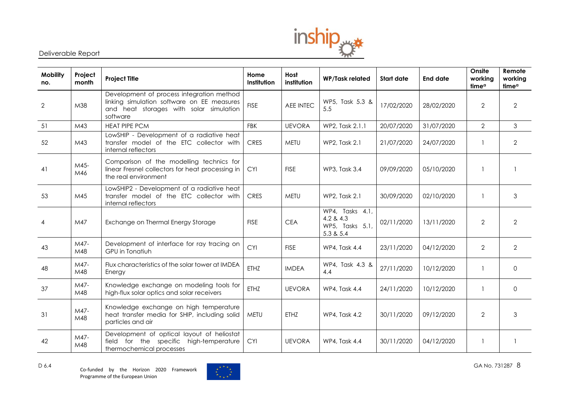

| <b>Mobility</b><br>no. | Project<br>month | <b>Project Title</b>                                                                                                                                                                           | Home<br>Institution                                                                                                   | Host<br>institution | <b>WP/Task related</b> | Start date     | <b>End date</b> | Onsite<br>working<br>time <sup>a</sup> | Remote<br>working<br>time <sup>a</sup> |
|------------------------|------------------|------------------------------------------------------------------------------------------------------------------------------------------------------------------------------------------------|-----------------------------------------------------------------------------------------------------------------------|---------------------|------------------------|----------------|-----------------|----------------------------------------|----------------------------------------|
| $\overline{2}$         | M38              | Development of process integration method<br>linking simulation software on EE measures<br>and heat storages with solar simulation<br>software                                                 | <b>FISE</b>                                                                                                           | <b>AEE INTEC</b>    | WP5, Task 5.3 &<br>5.5 | 17/02/2020     | 28/02/2020      | $\overline{2}$                         | $\overline{2}$                         |
| 51                     | M43              | <b>HEAT PIPE PCM</b>                                                                                                                                                                           | <b>FBK</b>                                                                                                            | <b>UEVORA</b>       | WP2, Task 2.1.1        | 20/07/2020     | 31/07/2020      | $\overline{2}$                         | 3                                      |
| 52                     | M43              | LowSHIP - Development of a radiative heat<br>transfer model of the ETC collector with<br>internal reflectors                                                                                   | <b>CRES</b>                                                                                                           | <b>METU</b>         | WP2, Task 2.1          | 21/07/2020     | 24/07/2020      | 1                                      | $\overline{2}$                         |
| 41                     | M45-<br>M46      | Comparison of the modelling technics for<br>linear Fresnel collectors for heat processing in<br><b>CYI</b><br><b>FISE</b><br>WP3, Task 3.4<br>09/09/2020<br>05/10/2020<br>the real environment |                                                                                                                       |                     |                        |                |                 |                                        |                                        |
| 53                     | M45              | LowSHIP2 - Development of a radiative heat<br>transfer model of the ETC collector with<br>internal reflectors                                                                                  | <b>CRES</b>                                                                                                           | <b>METU</b>         | WP2, Task 2.1          | 30/09/2020     | 02/10/2020      |                                        | 3                                      |
| $\overline{4}$         | M47              | Exchange on Thermal Energy Storage                                                                                                                                                             | WP4, Tasks 4.1,<br>4.2 & 4.3<br><b>FISE</b><br><b>CEA</b><br>02/11/2020<br>13/11/2020<br>WP5, Tasks 5.1,<br>5.3 & 5.4 |                     | $\overline{2}$         | $\overline{2}$ |                 |                                        |                                        |
| 43                     | M47-<br>M48      | Development of interface for ray tracing on<br>GPU in Tonatiuh                                                                                                                                 | <b>CYI</b>                                                                                                            | <b>FISE</b>         | WP4, Task 4.4          | 23/11/2020     | 04/12/2020      | $\overline{2}$                         | $\overline{2}$                         |
| 48                     | M47-<br>M48      | Flux characteristics of the solar tower at IMDEA<br>Energy                                                                                                                                     | <b>ETHZ</b>                                                                                                           | <b>IMDEA</b>        | WP4, Task 4.3 &<br>4.4 | 27/11/2020     | 10/12/2020      | $\mathbf{1}$                           | $\Omega$                               |
| 37                     | M47-<br>M48      | Knowledge exchange on modeling tools for<br>high-flux solar optics and solar receivers                                                                                                         | ETHZ                                                                                                                  | <b>UEVORA</b>       | WP4, Task 4.4          | 24/11/2020     | 10/12/2020      | $\mathbf{1}$                           | 0                                      |
| 31                     | M47-<br>M48      | Knowledge exchange on high temperature<br>heat transfer media for SHIP, including solid<br>particles and air                                                                                   | <b>METU</b>                                                                                                           | ETHZ                | <b>WP4, Task 4.2</b>   | 30/11/2020     | 09/12/2020      | $\overline{2}$                         | 3                                      |
| 42                     | M47-<br>M48      | Development of optical layout of heliostat<br>field for the specific high-temperature<br>thermochemical processes                                                                              | <b>CYI</b>                                                                                                            | <b>UEVORA</b>       | WP4, Task 4.4          | 30/11/2020     | 04/12/2020      | $\mathbf{1}$                           |                                        |

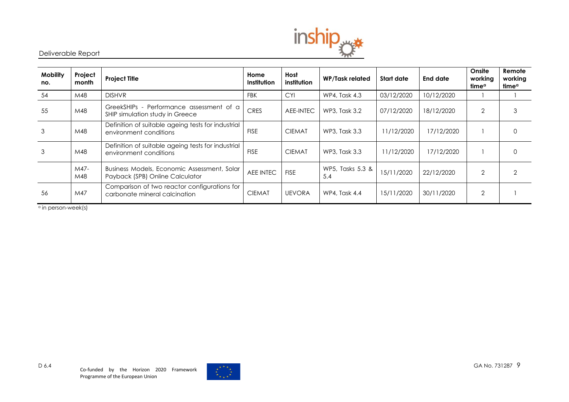

| <b>Mobility</b><br>no. | Project<br>month | <b>Project Title</b>                                                           | Home<br>Institution | Host<br>institution | <b>WP/Task related</b>  | Start date | End date   | Onsite<br>working<br>timeª | Remote<br>working<br>timeª |
|------------------------|------------------|--------------------------------------------------------------------------------|---------------------|---------------------|-------------------------|------------|------------|----------------------------|----------------------------|
| 54                     | M48              | <b>DISHVR</b>                                                                  | <b>FBK</b>          | <b>CYI</b>          | WP4, Task 4.3           | 03/12/2020 | 10/12/2020 |                            |                            |
| 55                     | M48              | GreekSHIPs - Performance assessment of a<br>SHIP simulation study in Greece    | <b>CRES</b>         | AEE-INTEC           | WP3, Task 3.2           | 07/12/2020 | 18/12/2020 | $\overline{2}$             | ۰.                         |
| 3                      | M48              | Definition of suitable ageing tests for industrial<br>environment conditions   | <b>FISE</b>         | <b>CIEMAT</b>       | WP3, Task 3.3           | 11/12/2020 | 17/12/2020 |                            |                            |
| 3                      | M48              | Definition of suitable ageing tests for industrial<br>environment conditions   | <b>FISE</b>         | <b>CIEMAT</b>       | WP3, Task 3.3           | 11/12/2020 | 17/12/2020 |                            |                            |
|                        | M47-<br>M48      | Business Models, Economic Assessment, Solar<br>Payback (SPB) Online Calculator | AEE INTEC           | <b>FISE</b>         | WP5, Tasks 5.3 &<br>5.4 | 15/11/2020 | 22/12/2020 | $\overline{2}$             |                            |
| 56                     | M47              | Comparison of two reactor configurations for<br>carbonate mineral calcination  | <b>CIEMAT</b>       | <b>UEVORA</b>       | WP4, Task 4.4           | 15/11/2020 | 30/11/2020 | $\overline{2}$             |                            |

<sup>a</sup> in person-week(s)

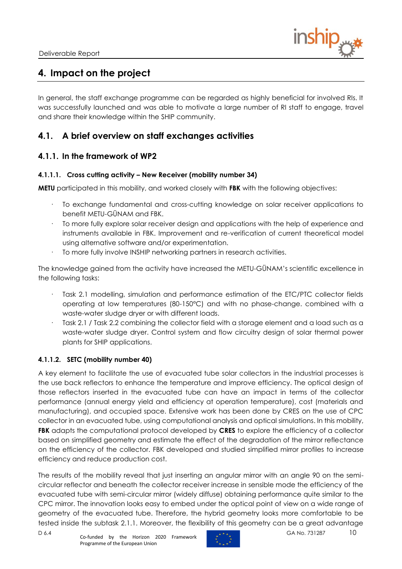

# <span id="page-9-0"></span>**4. Impact on the project**

In general, the staff exchange programme can be regarded as highly beneficial for involved RIs. It was successfully launched and was able to motivate a large number of RI staff to engage, travel and share their knowledge within the SHIP community.

## <span id="page-9-1"></span>**4.1. A brief overview on staff exchanges activities**

### <span id="page-9-2"></span>**4.1.1. In the framework of WP2**

#### **4.1.1.1. Cross cutting activity – New Receiver (mobility number 34)**

**METU** participated in this mobility, and worked closely with **FBK** with the following objectives:

- · To exchange fundamental and cross-cutting knowledge on solar receiver applications to benefit METU-GÜNAM and FBK.
- To more fully explore solar receiver design and applications with the help of experience and instruments available in FBK. Improvement and re-verification of current theoretical model using alternative software and/or experimentation.
- To more fully involve INSHIP networking partners in research activities.

The knowledge gained from the activity have increased the METU-GÜNAM's scientific excellence in the following tasks:

- Task 2.1 modelling, simulation and performance estimation of the ETC/PTC collector fields operating at low temperatures (80-150°C) and with no phase-change. combined with a waste-water sludge dryer or with different loads.
- Task 2.1 / Task 2.2 combining the collector field with a storage element and a load such as a waste-water sludge dryer. Control system and flow circuitry design of solar thermal power plants for SHIP applications.

#### **4.1.1.2. SETC (mobility number 40)**

A key element to facilitate the use of evacuated tube solar collectors in the industrial processes is the use back reflectors to enhance the temperature and improve efficiency. The optical design of those reflectors inserted in the evacuated tube can have an impact in terms of the collector performance (annual energy yield and efficiency at operation temperature), cost (materials and manufacturing), and occupied space. Extensive work has been done by CRES on the use of CPC collector in an evacuated tube, using computational analysis and optical simulations. In this mobility, **FBK** adapts the computational protocol developed by **CRES** to explore the efficiency of a collector based on simplified geometry and estimate the effect of the degradation of the mirror reflectance on the efficiency of the collector. FBK developed and studied simplified mirror profiles to increase efficiency and reduce production cost.

The results of the mobility reveal that just inserting an angular mirror with an angle 90 on the semicircular reflector and beneath the collector receiver increase in sensible mode the efficiency of the evacuated tube with semi-circular mirror (widely diffuse) obtaining performance quite similar to the CPC mirror. The innovation looks easy to embed under the optical point of view on a wide range of geometry of the evacuated tube. Therefore, the hybrid geometry looks more comfortable to be tested inside the subtask 2.1.1. Moreover, the flexibility of this geometry can be a great advantage

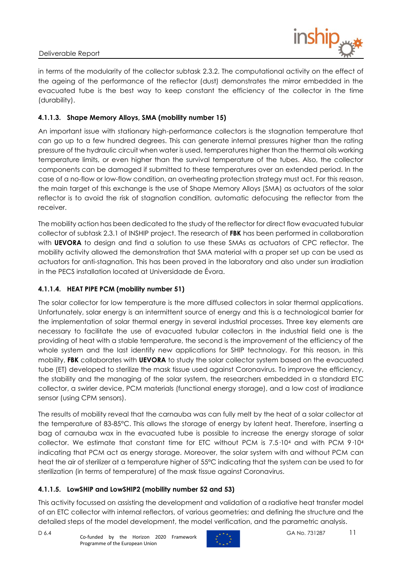

in terms of the modularity of the collector subtask 2.3.2. The computational activity on the effect of the ageing of the performance of the reflector (dust) demonstrates the mirror embedded in the evacuated tube is the best way to keep constant the efficiency of the collector in the time (durability).

### **4.1.1.3. Shape Memory Alloys, SMA (mobility number 15)**

An important issue with stationary high-performance collectors is the stagnation temperature that can go up to a few hundred degrees. This can generate internal pressures higher than the rating pressure of the hydraulic circuit when water is used, temperatures higher than the thermal oils working temperature limits, or even higher than the survival temperature of the tubes. Also, the collector components can be damaged if submitted to these temperatures over an extended period. In the case of a no-flow or low-flow condition, an overheating protection strategy must act. For this reason, the main target of this exchange is the use of Shape Memory Alloys (SMA) as actuators of the solar reflector is to avoid the risk of stagnation condition, automatic defocusing the reflector from the receiver.

The mobility action has been dedicated to the study of the reflector for direct flow evacuated tubular collector of subtask 2.3.1 of INSHIP project. The research of **FBK** has been performed in collaboration with **UEVORA** to design and find a solution to use these SMAs as actuators of CPC reflector. The mobility activity allowed the demonstration that SMA material with a proper set up can be used as actuators for anti-stagnation. This has been proved in the laboratory and also under sun irradiation in the PECS installation located at Universidade de Évora.

### **4.1.1.4. HEAT PIPE PCM (mobility number 51)**

The solar collector for low temperature is the more diffused collectors in solar thermal applications. Unfortunately, solar energy is an intermittent source of energy and this is a technological barrier for the implementation of solar thermal energy in several industrial processes. Three key elements are necessary to facilitate the use of evacuated tubular collectors in the industrial field one is the providing of heat with a stable temperature, the second is the improvement of the efficiency of the whole system and the last identify new applications for SHIP technology. For this reason, in this mobility, **FBK** collaborates with **UEVORA** to study the solar collector system based on the evacuated tube (ET) developed to sterilize the mask tissue used against Coronavirus. To improve the efficiency, the stability and the managing of the solar system, the researchers embedded in a standard ETC collector, a swirler device, PCM materials (functional energy storage), and a low cost of irradiance sensor (using CPM sensors).

The results of mobility reveal that the carnauba was can fully melt by the heat of a solar collector at the temperature of 83-85°C. This allows the storage of energy by latent heat. Therefore, inserting a bag of carnauba wax in the evacuated tube is possible to increase the energy storage of solar collector. We estimate that constant time for ETC without PCM is 7.5·10<sup>4</sup> and with PCM 9·10<sup>4</sup> indicating that PCM act as energy storage. Moreover, the solar system with and without PCM can heat the air of sterilizer at a temperature higher of 55°C indicating that the system can be used to for sterilization (in terms of temperature) of the mask tissue against Coronavirus.

#### **4.1.1.5. LowSHIP and LowSHIP2 (mobility number 52 and 53)**

This activity focussed on assisting the development and validation of a radiative heat transfer model of an ETC collector with internal reflectors, of various geometries; and defining the structure and the detailed steps of the model development, the model verification, and the parametric analysis.

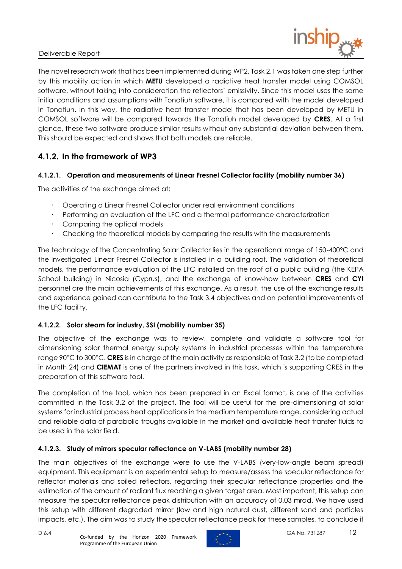

The novel research work that has been implemented during WP2, Task 2.1 was taken one step further by this mobility action in which **METU** developed a radiative heat transfer model using COMSOL software, without taking into consideration the reflectors' emissivity. Since this model uses the same initial conditions and assumptions with Tonatiuh software, it is compared with the model developed in Tonatiuh. In this way, the radiative heat transfer model that has been developed by METU in COMSOL software will be compared towards the Tonatiuh model developed by **CRES**. At a first glance, these two software produce similar results without any substantial deviation between them. This should be expected and shows that both models are reliable.

## <span id="page-11-0"></span>**4.1.2. In the framework of WP3**

#### **4.1.2.1. Operation and measurements of Linear Fresnel Collector facility (mobility number 36)**

The activities of the exchange aimed at:

- · Operating a Linear Fresnel Collector under real environment conditions
- · Performing an evaluation of the LFC and a thermal performance characterization
- Comparing the optical models
- · Checking the theoretical models by comparing the results with the measurements

The technology of the Concentrating Solar Collector lies in the operational range of 150-400°C and the investigated Linear Fresnel Collector is installed in a building roof. The validation of theoretical models, the performance evaluation of the LFC installed on the roof of a public building (the KEPA School building) in Nicosia (Cyprus), and the exchange of know-how between **CRES** and **CYI** personnel are the main achievements of this exchange. As a result, the use of the exchange results and experience gained can contribute to the Task 3.4 objectives and on potential improvements of the LFC facility.

#### **4.1.2.2. Solar steam for industry, SSI (mobility number 35)**

The objective of the exchange was to review, complete and validate a software tool for dimensioning solar thermal energy supply systems in industrial processes within the temperature range 90°C to 300°C. **CRES** is in charge of the main activity as responsible of Task 3.2 (to be completed in Month 24) and **CIEMAT** is one of the partners involved in this task, which is supporting CRES in the preparation of this software tool.

The completion of the tool, which has been prepared in an Excel format, is one of the activities committed in the Task 3.2 of the project. The tool will be useful for the pre-dimensioning of solar systems for industrial process heat applications in the medium temperature range, considering actual and reliable data of parabolic troughs available in the market and available heat transfer fluids to be used in the solar field.

#### **4.1.2.3. Study of mirrors specular reflectance on V-LABS (mobility number 28)**

The main objectives of the exchange were to use the V-LABS (very-low-angle beam spread) equipment. This equipment is an experimental setup to measure/assess the specular reflectance for reflector materials and soiled reflectors, regarding their specular reflectance properties and the estimation of the amount of radiant flux reaching a given target area. Most important, this setup can measure the specular reflectance peak distribution with an accuracy of 0.03 mrad. We have used this setup with different degraded mirror (low and high natural dust, different sand and particles impacts, etc.). The aim was to study the specular reflectance peak for these samples, to conclude if

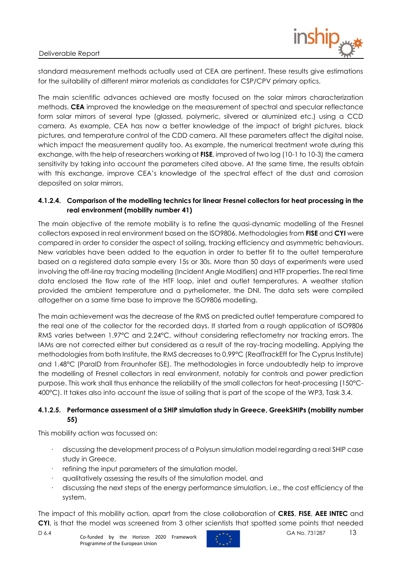

standard measurement methods actually used at CEA are pertinent. These results give estimations for the suitability of different mirror materials as candidates for CSP/CPV primary optics.

The main scientific advances achieved are mostly focused on the solar mirrors characterization methods. **CEA** improved the knowledge on the measurement of spectral and specular reflectance form solar mirrors of several type (glassed, polymeric, silvered or aluminized etc.) using a CCD camera. As example, CEA has now a better knowledge of the impact of bright pictures, black pictures, and temperature control of the CDD camera. All these parameters affect the digital noise, which impact the measurement quality too. As example, the numerical treatment wrote during this exchange, with the help of researchers working at **FISE**, improved of two log (10-1 to 10-3) the camera sensitivity by taking into account the parameters cited above. At the same time, the results obtain with this exchange, improve CEA's knowledge of the spectral effect of the dust and corrosion deposited on solar mirrors.

#### **4.1.2.4. Comparison of the modelling technics for linear Fresnel collectors for heat processing in the real environment (mobility number 41)**

The main objective of the remote mobility is to refine the quasi-dynamic modelling of the Fresnel collectors exposed in real environment based on the ISO9806. Methodologies from **FISE** and **CYI** were compared in order to consider the aspect of soiling, tracking efficiency and asymmetric behaviours. New variables have been added to the equation in order to better fit to the outlet temperature based on a registered data sample every 15s or 30s. More than 50 days of experiments were used involving the off-line ray tracing modelling (Incident Angle Modifiers) and HTF properties. The real time data enclosed the flow rate of the HTF loop, inlet and outlet temperatures. A weather station provided the ambient temperature and a pyrheliometer, the DNI. The data sets were compiled altogether on a same time base to improve the ISO9806 modelling.

The main achievement was the decrease of the RMS on predicted outlet temperature compared to the real one of the collector for the recorded days. It started from a rough application of ISO9806 RMS varies between 1.97°C and 2.24°C, without considering reflectometry nor tracking errors. The IAMs are not corrected either but considered as a result of the ray-tracing modelling. Applying the methodologies from both Institute, the RMS decreases to 0.99°C (RealTrackEff for The Cyprus Institute) and 1.48°C (ParaID from Fraunhofer ISE). The methodologies in force undoubtedly help to improve the modelling of Fresnel collectors in real environment, notably for controls and power prediction purpose. This work shall thus enhance the reliability of the small collectors for heat-processing (150°C-400°C). It takes also into account the issue of soiling that is part of the scope of the WP3, Task 3.4.

#### **4.1.2.5. Performance assessment of a SHIP simulation study in Greece, GreekSHIPs (mobility number 55)**

This mobility action was focussed on:

- · discussing the development process of a Polysun simulation model regarding a real SHIP case study in Greece,
- refining the input parameters of the simulation model,
- · qualitatively assessing the results of the simulation model, and
- discussing the next steps of the energy performance simulation, i.e., the cost efficiency of the system.

The impact of this mobility action, apart from the close collaboration of **CRES**, **FISE**, **AEE INTEC** and **CYI**, is that the model was screened from 3 other scientists that spotted some points that needed

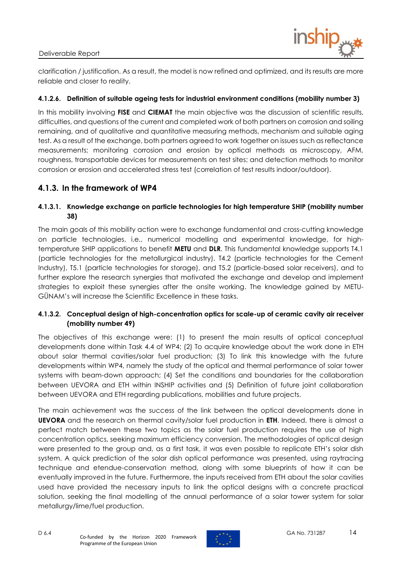

clarification / justification. As a result, the model is now refined and optimized, and its results are more reliable and closer to reality.

#### **4.1.2.6. Definition of suitable ageing tests for industrial environment conditions (mobility number 3)**

In this mobility involving **FISE** and **CIEMAT** the main objective was the discussion of scientific results, difficulties, and questions of the current and completed work of both partners on corrosion and soiling remaining, and of qualitative and quantitative measuring methods, mechanism and suitable aging test. As a result of the exchange, both partners agreed to work together on issues such as reflectance measurements; monitoring corrosion and erosion by optical methods as microscopy, AFM, roughness, transportable devices for measurements on test sites; and detection methods to monitor corrosion or erosion and accelerated stress test (correlation of test results indoor/outdoor).

### <span id="page-13-0"></span>**4.1.3. In the framework of WP4**

#### **4.1.3.1. Knowledge exchange on particle technologies for high temperature SHIP (mobility number 38)**

The main goals of this mobility action were to exchange fundamental and cross-cutting knowledge on particle technologies, i.e., numerical modelling and experimental knowledge, for hightemperature SHIP applications to benefit **METU** and **DLR**. This fundamental knowledge supports T4.1 (particle technologies for the metallurgical industry), T4.2 (particle technologies for the Cement Industry), T5.1 (particle technologies for storage), and T5.2 (particle-based solar receivers), and to further explore the research synergies that motivated the exchange and develop and implement strategies to exploit these synergies after the onsite working. The knowledge gained by METU-GÜNAM's will increase the Scientific Excellence in these tasks.

#### **4.1.3.2. Conceptual design of high-concentration optics for scale-up of ceramic cavity air receiver (mobility number 49)**

The objectives of this exchange were: (1) to present the main results of optical conceptual developments done within Task 4.4 of WP4; (2) To acquire knowledge about the work done in ETH about solar thermal cavities/solar fuel production; (3) To link this knowledge with the future developments within WP4, namely the study of the optical and thermal performance of solar tower systems with beam-down approach; (4) Set the conditions and boundaries for the collaboration between UEVORA and ETH within INSHIP activities and (5) Definition of future joint collaboration between UEVORA and ETH regarding publications, mobilities and future projects.

The main achievement was the success of the link between the optical developments done in **UEVORA** and the research on thermal cavity/solar fuel production in **ETH**. Indeed, there is almost a perfect match between these two topics as the solar fuel production requires the use of high concentration optics, seeking maximum efficiency conversion. The methodologies of optical design were presented to the group and, as a first task, it was even possible to replicate ETH's solar dish system. A quick prediction of the solar dish optical performance was presented, using raytracing technique and etendue-conservation method, along with some blueprints of how it can be eventually improved in the future. Furthermore, the inputs received from ETH about the solar cavities used have provided the necessary inputs to link the optical designs with a concrete practical solution, seeking the final modelling of the annual performance of a solar tower system for solar metallurgy/lime/fuel production.

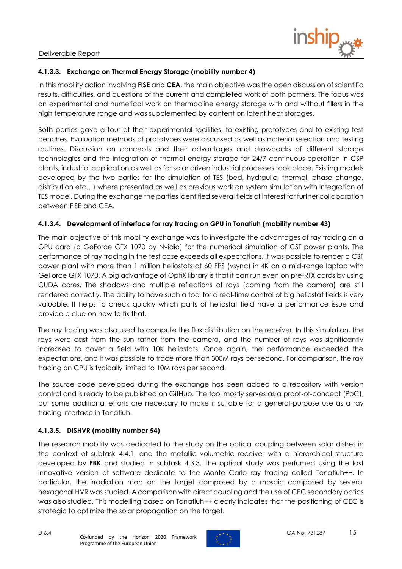

#### **4.1.3.3. Exchange on Thermal Energy Storage (mobility number 4)**

In this mobility action involving **FISE** and **CEA**, the main objective was the open discussion of scientific results, difficulties, and questions of the current and completed work of both partners. The focus was on experimental and numerical work on thermocline energy storage with and without fillers in the high temperature range and was supplemented by content on latent heat storages.

Both parties gave a tour of their experimental facilities, to existing prototypes and to existing test benches. Evaluation methods of prototypes were discussed as well as material selection and testing routines. Discussion on concepts and their advantages and drawbacks of different storage technologies and the integration of thermal energy storage for 24/7 continuous operation in CSP plants, industrial application as well as for solar driven industrial processes took place. Existing models developed by the two parties for the simulation of TES (bed, hydraulic, thermal, phase change, distribution etc…) where presented as well as previous work on system simulation with Integration of TES model. During the exchange the parties identified several fields of interest for further collaboration between FISE and CEA.

#### **4.1.3.4. Development of interface for ray tracing on GPU in Tonatiuh (mobility number 43)**

The main objective of this mobility exchange was to investigate the advantages of ray tracing on a GPU card (a GeForce GTX 1070 by Nvidia) for the numerical simulation of CST power plants. The performance of ray tracing in the test case exceeds all expectations. It was possible to render a CST power plant with more than 1 million heliostats at 60 FPS (vsync) in 4K on a mid-range laptop with GeForce GTX 1070. A big advantage of OptiX library is that it can run even on pre-RTX cards by using CUDA cores. The shadows and multiple reflections of rays (coming from the camera) are still rendered correctly. The ability to have such a tool for a real-time control of big heliostat fields is very valuable. It helps to check quickly which parts of heliostat field have a performance issue and provide a clue on how to fix that.

The ray tracing was also used to compute the flux distribution on the receiver. In this simulation, the rays were cast from the sun rather from the camera, and the number of rays was significantly increased to cover a field with 10K heliostats. Once again, the performance exceeded the expectations, and it was possible to trace more than 300M rays per second. For comparison, the ray tracing on CPU is typically limited to 10M rays per second.

The source code developed during the exchange has been added to a repository with version control and is ready to be published on GitHub. The tool mostly serves as a proof-of-concept (PoC), but some additional efforts are necessary to make it suitable for a general-purpose use as a ray tracing interface in Tonatiuh.

#### **4.1.3.5. DISHVR (mobility number 54)**

The research mobility was dedicated to the study on the optical coupling between solar dishes in the context of subtask 4.4.1, and the metallic volumetric receiver with a hierarchical structure developed by **FBK** and studied in subtask 4.3.3. The optical study was perfumed using the last innovative version of software dedicate to the Monte Carlo ray tracing called Tonatiuh++. In particular, the irradiation map on the target composed by a mosaic composed by several hexagonal HVR was studied. A comparison with direct coupling and the use of CEC secondary optics was also studied. This modelling based on Tonatiuh++ clearly indicates that the positioning of CEC is strategic to optimize the solar propagation on the target.

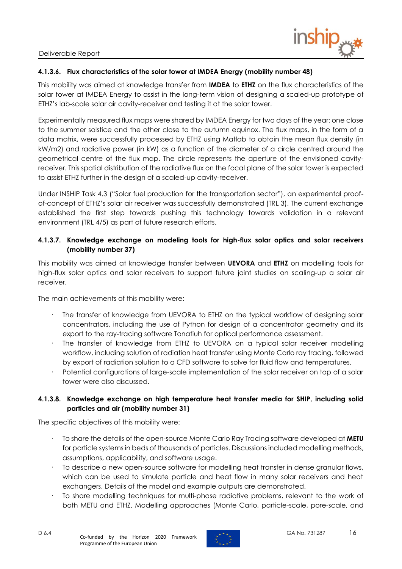

#### **4.1.3.6. Flux characteristics of the solar tower at IMDEA Energy (mobility number 48)**

This mobility was aimed at knowledge transfer from **IMDEA** to **ETHZ** on the flux characteristics of the solar tower at IMDEA Energy to assist in the long-term vision of designing a scaled-up prototype of ETHZ's lab-scale solar air cavity-receiver and testing it at the solar tower.

Experimentally measured flux maps were shared by IMDEA Energy for two days of the year: one close to the summer solstice and the other close to the autumn equinox. The flux maps, in the form of a data matrix, were successfully processed by ETHZ using Matlab to obtain the mean flux density (in kW/m2) and radiative power (in kW) as a function of the diameter of a circle centred around the geometrical centre of the flux map. The circle represents the aperture of the envisioned cavityreceiver. This spatial distribution of the radiative flux on the focal plane of the solar tower is expected to assist ETHZ further in the design of a scaled-up cavity-receiver.

Under INSHIP Task 4.3 ("Solar fuel production for the transportation sector"), an experimental proofof-concept of ETHZ's solar air receiver was successfully demonstrated (TRL 3). The current exchange established the first step towards pushing this technology towards validation in a relevant environment (TRL 4/5) as part of future research efforts.

#### **4.1.3.7. Knowledge exchange on modeling tools for high-flux solar optics and solar receivers (mobility number 37)**

This mobility was aimed at knowledge transfer between **UEVORA** and **ETHZ** on modelling tools for high-flux solar optics and solar receivers to support future joint studies on scaling-up a solar air receiver.

The main achievements of this mobility were:

- · The transfer of knowledge from UEVORA to ETHZ on the typical workflow of designing solar concentrators, including the use of Python for design of a concentrator geometry and its export to the ray-tracing software Tonatiuh for optical performance assessment.
- The transfer of knowledge from ETHZ to UEVORA on a typical solar receiver modelling workflow, including solution of radiation heat transfer using Monte Carlo ray tracing, followed by export of radiation solution to a CFD software to solve for fluid flow and temperatures.
- Potential configurations of large-scale implementation of the solar receiver on top of a solar tower were also discussed.

#### **4.1.3.8. Knowledge exchange on high temperature heat transfer media for SHIP, including solid particles and air (mobility number 31)**

The specific objectives of this mobility were:

- · To share the details of the open-source Monte Carlo Ray Tracing software developed at **METU** for particle systems in beds of thousands of particles. Discussions included modelling methods, assumptions, applicability, and software usage.
- · To describe a new open-source software for modelling heat transfer in dense granular flows, which can be used to simulate particle and heat flow in many solar receivers and heat exchangers. Details of the model and example outputs are demonstrated.
- · To share modelling techniques for multi-phase radiative problems, relevant to the work of both METU and ETHZ. Modelling approaches (Monte Carlo, particle-scale, pore-scale, and

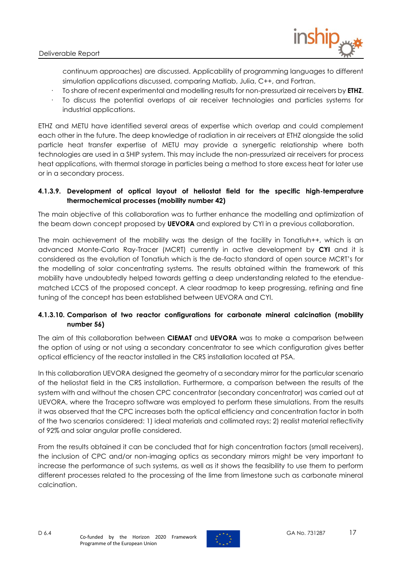

continuum approaches) are discussed. Applicability of programming languages to different simulation applications discussed, comparing Matlab, Julia, C++, and Fortran.

- · To share of recent experimental and modelling results for non-pressurized air receivers by **ETHZ**.
- · To discuss the potential overlaps of air receiver technologies and particles systems for industrial applications.

ETHZ and METU have identified several areas of expertise which overlap and could complement each other in the future. The deep knowledge of radiation in air receivers at ETHZ alongside the solid particle heat transfer expertise of METU may provide a synergetic relationship where both technologies are used in a SHIP system. This may include the non-pressurized air receivers for process heat applications, with thermal storage in particles being a method to store excess heat for later use or in a secondary process.

#### **4.1.3.9. Development of optical layout of heliostat field for the specific high-temperature thermochemical processes (mobility number 42)**

The main objective of this collaboration was to further enhance the modelling and optimization of the beam down concept proposed by **UEVORA** and explored by CYI in a previous collaboration.

The main achievement of the mobility was the design of the facility in Tonatiuh++, which is an advanced Monte-Carlo Ray-Tracer (MCRT) currently in active development by **CYI** and it is considered as the evolution of Tonatiuh which is the de-facto standard of open source MCRT's for the modelling of solar concentrating systems. The results obtained within the framework of this mobility have undoubtedly helped towards getting a deep understanding related to the etenduematched LCCS of the proposed concept. A clear roadmap to keep progressing, refining and fine tuning of the concept has been established between UEVORA and CYI.

#### **4.1.3.10. Comparison of two reactor configurations for carbonate mineral calcination (mobility number 56)**

The aim of this collaboration between **CIEMAT** and **UEVORA** was to make a comparison between the option of using or not using a secondary concentrator to see which configuration gives better optical efficiency of the reactor installed in the CRS installation located at PSA.

In this collaboration UEVORA designed the geometry of a secondary mirror for the particular scenario of the heliostat field in the CRS installation. Furthermore, a comparison between the results of the system with and without the chosen CPC concentrator (secondary concentrator) was carried out at UEVORA, where the Tracepro software was employed to perform these simulations. From the results it was observed that the CPC increases both the optical efficiency and concentration factor in both of the two scenarios considered: 1) ideal materials and collimated rays; 2) realist material reflectivity of 92% and solar angular profile considered.

From the results obtained it can be concluded that for high concentration factors (small receivers), the inclusion of CPC and/or non-imaging optics as secondary mirrors might be very important to increase the performance of such systems, as well as it shows the feasibility to use them to perform different processes related to the processing of the lime from limestone such as carbonate mineral calcination.

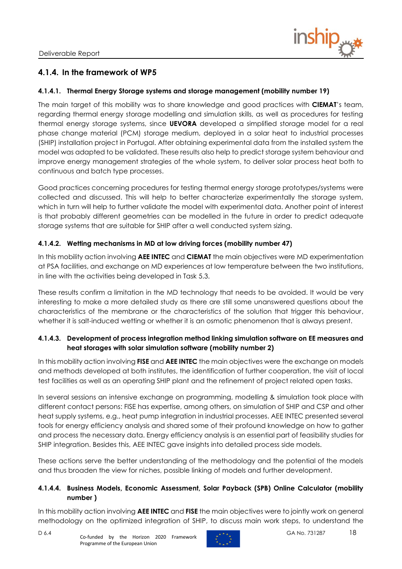

### <span id="page-17-0"></span>**4.1.4. In the framework of WP5**

#### **4.1.4.1. Thermal Energy Storage systems and storage management (mobility number 19)**

The main target of this mobility was to share knowledge and good practices with **CIEMAT**'s team, regarding thermal energy storage modelling and simulation skills, as well as procedures for testing thermal energy storage systems, since **UEVORA** developed a simplified storage model for a real phase change material (PCM) storage medium, deployed in a solar heat to industrial processes (SHIP) installation project in Portugal. After obtaining experimental data from the installed system the model was adapted to be validated. These results also help to predict storage system behaviour and improve energy management strategies of the whole system, to deliver solar process heat both to continuous and batch type processes.

Good practices concerning procedures for testing thermal energy storage prototypes/systems were collected and discussed. This will help to better characterize experimentally the storage system, which in turn will help to further validate the model with experimental data. Another point of interest is that probably different geometries can be modelled in the future in order to predict adequate storage systems that are suitable for SHIP after a well conducted system sizing.

#### **4.1.4.2. Wetting mechanisms in MD at low driving forces (mobility number 47)**

In this mobility action involving **AEE INTEC** and **CIEMAT** the main objectives were MD experimentation at PSA facilities, and exchange on MD experiences at low temperature between the two institutions, in line with the activities being developed in Task 5.3.

These results confirm a limitation in the MD technology that needs to be avoided. It would be very interesting to make a more detailed study as there are still some unanswered questions about the characteristics of the membrane or the characteristics of the solution that trigger this behaviour, whether it is salt-induced wetting or whether it is an osmotic phenomenon that is always present.

#### **4.1.4.3. Development of process integration method linking simulation software on EE measures and heat storages with solar simulation software (mobility number 2)**

In this mobility action involving **FISE** and **AEE INTEC** the main objectives were the exchange on models and methods developed at both institutes, the identification of further cooperation, the visit of local test facilities as well as an operating SHIP plant and the refinement of project related open tasks.

In several sessions an intensive exchange on programming, modelling & simulation took place with different contact persons: FISE has expertise, among others, on simulation of SHIP and CSP and other heat supply systems, e.g., heat pump integration in industrial processes. AEE INTEC presented several tools for energy efficiency analysis and shared some of their profound knowledge on how to gather and process the necessary data. Energy efficiency analysis is an essential part of feasibility studies for SHIP integration. Besides this, AEE INTEC gave insights into detailed process side models.

These actions serve the better understanding of the methodology and the potential of the models and thus broaden the view for niches, possible linking of models and further development.

#### **4.1.4.4. Business Models, Economic Assessment, Solar Payback (SPB) Online Calculator (mobility number )**

In this mobility action involving **AEE INTEC** and **FISE** the main objectives were to jointly work on general methodology on the optimized integration of SHIP, to discuss main work steps, to understand the

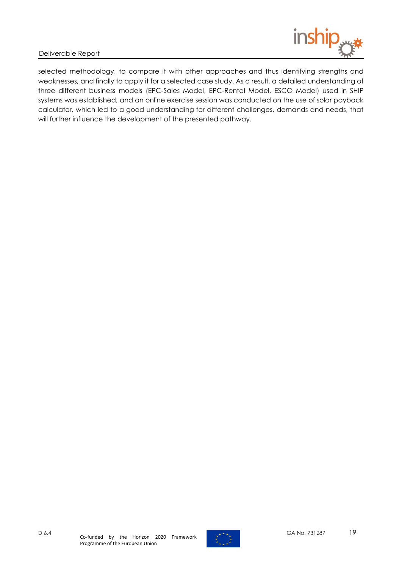

selected methodology, to compare it with other approaches and thus identifying strengths and weaknesses, and finally to apply it for a selected case study. As a result, a detailed understanding of three different business models (EPC-Sales Model, EPC-Rental Model, ESCO Model) used in SHIP systems was established, and an online exercise session was conducted on the use of solar payback calculator, which led to a good understanding for different challenges, demands and needs, that will further influence the development of the presented pathway.

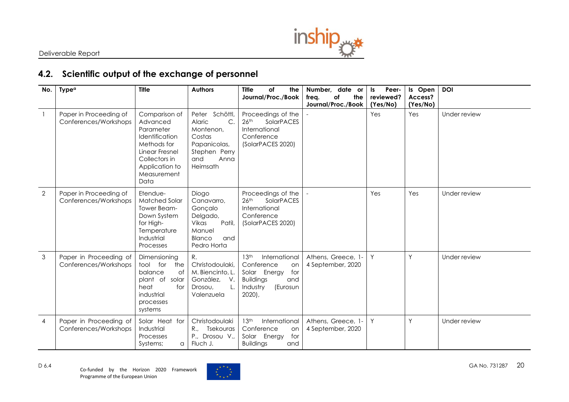

# **4.2. Scientific output of the exchange of personnel**

<span id="page-19-0"></span>

| No.            | <b>Type<sup>a</sup></b>                         | <b>Title</b>                                                                                                                                        | <b>Authors</b>                                                                                                       | <b>Title</b><br>of<br>the<br>Journal/Proc./Book                                                                                              | Number, date or<br>the<br>freg.<br>of<br>Journal/Proc./Book | Peer-<br>ls.<br>reviewed?<br>(Yes/No) | Is Open<br>Access?<br>(Yes/No) | <b>DOI</b>   |
|----------------|-------------------------------------------------|-----------------------------------------------------------------------------------------------------------------------------------------------------|----------------------------------------------------------------------------------------------------------------------|----------------------------------------------------------------------------------------------------------------------------------------------|-------------------------------------------------------------|---------------------------------------|--------------------------------|--------------|
| $\overline{1}$ | Paper in Proceeding of<br>Conferences/Workshops | Comparison of<br>Advanced<br>Parameter<br>Identification<br>Methods for<br>Linear Fresnel<br>Collectors in<br>Application to<br>Measurement<br>Data | Schöttl,<br>Peter<br>C.<br>Alaric<br>Montenon,<br>Costas<br>Papanicolas,<br>Stephen Perry<br>and<br>Anna<br>Heimsath | Proceedings of the<br>26 <sup>th</sup><br><b>SolarPACES</b><br>International<br>Conference<br>(SolarPACES 2020)                              |                                                             | Yes                                   | Yes                            | Under review |
| $\overline{2}$ | Paper in Proceeding of<br>Conferences/Workshops | Etendue-<br><b>Matched Solar</b><br>Tower Beam-<br>Down System<br>for High-<br>Temperature<br>Industrial<br>Processes                               | Diogo<br>Canavarro,<br>Gonçalo<br>Delgado,<br>Vikas<br>Patil,<br>Manuel<br>Blanco<br>and<br>Pedro Horta              | Proceedings of the<br>26 <sup>th</sup><br>SolarPACES<br>International<br>Conference<br>(SolarPACES 2020)                                     |                                                             | Yes                                   | Yes                            | Under review |
| 3              | Paper in Proceeding of<br>Conferences/Workshops | Dimensioning<br>tool for<br>the<br>balance<br>0f<br>plant of solar<br>heat<br>for<br>industrial<br>processes<br>systems                             | R.<br>Christodoulaki,<br>M. Biencinto, L.<br>González,<br>$V$ .<br>Drosou,<br>Valenzuela                             | 13 <sup>th</sup><br>International<br>Conference<br>on<br>for<br>Solar Energy<br><b>Buildings</b><br>and<br>(Eurosun<br>Industry<br>$2020$ ), | Athens, Greece, 1-<br>4 September, 2020                     | Y                                     | Y                              | Under review |
| $\overline{4}$ | Paper in Proceeding of<br>Conferences/Workshops | Solar Heat for<br>Industrial<br><b>Processes</b><br>Systems;<br>a                                                                                   | Christodoulaki<br>Tsekouras<br>R.,<br>P., Drosou V.,<br>Fluch J.                                                     | 13 <sup>th</sup><br>International<br>Conference<br>on<br>Solar Energy<br>for<br><b>Buildings</b><br>and                                      | Athens, Greece, 1-<br>4 September, 2020                     | Y                                     | Y                              | Under review |